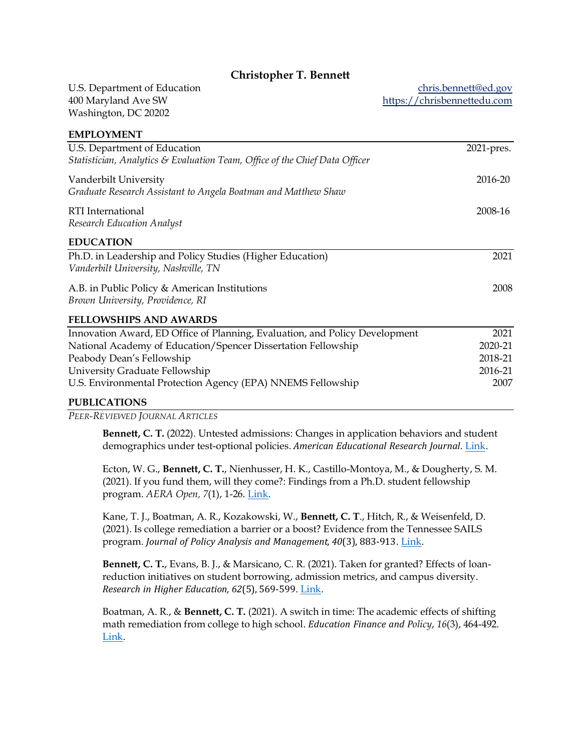# **Christopher T. Bennett**

U.S. Department of Education 400 Maryland Ave SW Washington, DC 20202

**EMPLOYMENT** 

[chris.bennett@ed.gov](mailto:bennett@alumni.brown.edu) [https://chrisbennettedu.com](https://chrisbennettedu.com/)

| EIVIT LU LIVIEIN L                                                          |            |
|-----------------------------------------------------------------------------|------------|
| U.S. Department of Education                                                | 2021-pres. |
| Statistician, Analytics & Evaluation Team, Office of the Chief Data Officer |            |
|                                                                             |            |
| Vanderbilt University                                                       | 2016-20    |
| Graduate Research Assistant to Angela Boatman and Matthew Shaw              |            |
| RTI International                                                           | 2008-16    |
| <b>Research Education Analyst</b>                                           |            |
|                                                                             |            |
| <b>EDUCATION</b>                                                            |            |
| Ph.D. in Leadership and Policy Studies (Higher Education)                   | 2021       |
| Vanderbilt University, Nashville, TN                                        |            |
|                                                                             |            |
| A.B. in Public Policy & American Institutions                               | 2008       |
| Brown University, Providence, RI                                            |            |
| <b>FELLOWSHIPS AND AWARDS</b>                                               |            |
| Innovation Award, ED Office of Planning, Evaluation, and Policy Development | 2021       |
| National Academy of Education/Spencer Dissertation Fellowship               | 2020-21    |
| Peabody Dean's Fellowship                                                   | 2018-21    |
| University Graduate Fellowship                                              | 2016-21    |
| U.S. Environmental Protection Agency (EPA) NNEMS Fellowship                 | 2007       |
| $\bf{m}$ in $\bf{r}$ a $\bf{m}$ and                                         |            |

**PUBLICATIONS**

*PEER-REVIEWED JOURNAL ARTICLES*

**Bennett, C. T.** (2022). Untested admissions: Changes in application behaviors and student demographics under test-optional policies. *American Educational Research Journal*. [Link.](https://journals.sagepub.com/eprint/DDA3RCXAMPT9RDZNGFYT/full)

Ecton, W. G., **Bennett, C. T.**, Nienhusser, H. K., Castillo-Montoya, M., & Dougherty, S. M. (2021). If you fund them, will they come?: Findings from a Ph.D. student fellowship program. *AERA Open, 7*(1), 1-26. [Link.](https://journals.sagepub.com/doi/10.1177/23328584211040485)

Kane, T. J., Boatman, A. R., Kozakowski, W., **Bennett, C. T**., Hitch, R., & Weisenfeld, D. (2021). Is college remediation a barrier or a boost? Evidence from the Tennessee SAILS program. *Journal of Policy Analysis and Management, 40*(3), 883-913. [Link.](https://onlinelibrary.wiley.com/share/author/6G8X9WHTRTZRPS3TXSAI?target=10.1002/pam.22306)

**Bennett, C. T.**, Evans, B. J., & Marsicano, C. R. (2021). Taken for granted? Effects of loanreduction initiatives on student borrowing, admission metrics, and campus diversity. *Research in Higher Education, 62*(5), 569-599. [Link.](https://link.springer.com/article/10.1007/s11162-020-09615-7)

Boatman, A. R., & **Bennett, C. T.** (2021). A switch in time: The academic effects of shifting math remediation from college to high school. *Education Finance and Policy*, *16*(3), 464-492. [Link.](https://www.mitpressjournals.org/doi/abs/10.1162/edfp_a_00312?mobileUi=0)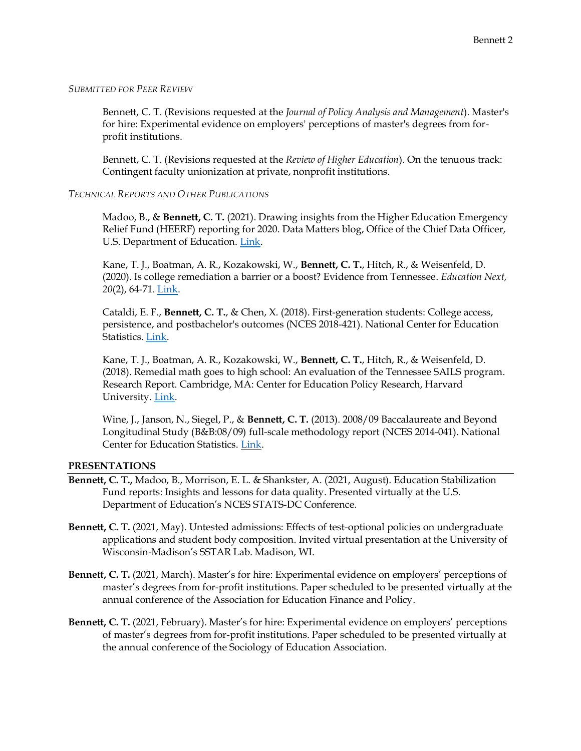#### *SUBMITTED FOR PEER REVIEW*

Bennett, C. T. (Revisions requested at the *Journal of Policy Analysis and Management*). Master's for hire: Experimental evidence on employers' perceptions of master's degrees from forprofit institutions.

Bennett, C. T. (Revisions requested at the *Review of Higher Education*). On the tenuous track: Contingent faculty unionization at private, nonprofit institutions.

# *TECHNICAL REPORTS AND OTHER PUBLICATIONS*

Madoo, B., & **Bennett, C. T.** (2021). Drawing insights from the Higher Education Emergency Relief Fund (HEERF) reporting for 2020. Data Matters blog, Office of the Chief Data Officer, U.S. Department of Education. [Link.](https://content.govdelivery.com/accounts/USED/bulletins/2f109ee)

Kane, T. J., Boatman, A. R., Kozakowski, W., **Bennett, C. T.**, Hitch, R., & Weisenfeld, D. (2020). Is college remediation a barrier or a boost? Evidence from Tennessee. *Education Next, 20*(2), 64-71. [Link.](https://www.educationnext.org/college-remediation-barrier-boost-evidence-from-tennessee/)

Cataldi, E. F., **Bennett, C. T.**, & Chen, X. (2018). First-generation students: College access, persistence, and postbachelor's outcomes (NCES 2018-421). National Center for Education Statistics. [Link.](https://nces.ed.gov/pubsearch/pubsinfo.asp?pubid=2018421)

Kane, T. J., Boatman, A. R., Kozakowski, W., **Bennett, C. T.**, Hitch, R., & Weisenfeld, D. (2018). Remedial math goes to high school: An evaluation of the Tennessee SAILS program. Research Report. Cambridge, MA: Center for Education Policy Research, Harvard University. [Link.](https://cepr.harvard.edu/publications/remedial-math-goes-high-school-evaluation-tennessee-sails-program)

Wine, J., Janson, N., Siegel, P., & **Bennett, C. T.** (2013). 2008/09 Baccalaureate and Beyond Longitudinal Study (B&B:08/09) full-scale methodology report (NCES 2014-041). National Center for Education Statistics. [Link.](https://nces.ed.gov/pubsearch/pubsinfo.asp?pubid=2014041)

#### **PRESENTATIONS**

- **Bennett, C. T.,** Madoo, B., Morrison, E. L. & Shankster, A. (2021, August). Education Stabilization Fund reports: Insights and lessons for data quality. Presented virtually at the U.S. Department of Education's NCES STATS-DC Conference.
- **Bennett, C. T.** (2021, May). Untested admissions: Effects of test-optional policies on undergraduate applications and student body composition. Invited virtual presentation at the University of Wisconsin-Madison's SSTAR Lab. Madison, WI.
- **Bennett, C. T.** (2021, March). Master's for hire: Experimental evidence on employers' perceptions of master's degrees from for-profit institutions. Paper scheduled to be presented virtually at the annual conference of the Association for Education Finance and Policy.
- **Bennett, C. T.** (2021, February). Master's for hire: Experimental evidence on employers' perceptions of master's degrees from for-profit institutions. Paper scheduled to be presented virtually at the annual conference of the Sociology of Education Association.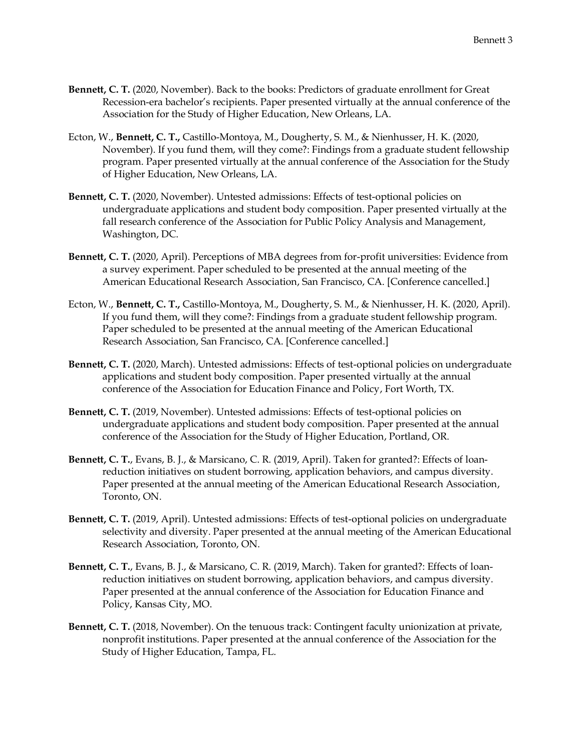- **Bennett, C. T.** (2020, November). Back to the books: Predictors of graduate enrollment for Great Recession-era bachelor's recipients. Paper presented virtually at the annual conference of the Association for the Study of Higher Education, New Orleans, LA.
- Ecton, W., **Bennett, C. T.,** Castillo-Montoya, M., Dougherty, S. M., & Nienhusser, H. K. (2020, November). If you fund them, will they come?: Findings from a graduate student fellowship program. Paper presented virtually at the annual conference of the Association for the Study of Higher Education, New Orleans, LA.
- **Bennett, C. T.** (2020, November). Untested admissions: Effects of test-optional policies on undergraduate applications and student body composition. Paper presented virtually at the fall research conference of the Association for Public Policy Analysis and Management, Washington, DC.
- **Bennett, C. T.** (2020, April). Perceptions of MBA degrees from for-profit universities: Evidence from a survey experiment. Paper scheduled to be presented at the annual meeting of the American Educational Research Association, San Francisco, CA. [Conference cancelled.]
- Ecton, W., **Bennett, C. T.,** Castillo-Montoya, M., Dougherty, S. M., & Nienhusser, H. K. (2020, April). If you fund them, will they come?: Findings from a graduate student fellowship program. Paper scheduled to be presented at the annual meeting of the American Educational Research Association, San Francisco, CA. [Conference cancelled.]
- **Bennett, C. T.** (2020, March). Untested admissions: Effects of test-optional policies on undergraduate applications and student body composition. Paper presented virtually at the annual conference of the Association for Education Finance and Policy, Fort Worth, TX.
- Bennett, C. T. (2019, November). Untested admissions: Effects of test-optional policies on undergraduate applications and student body composition. Paper presented at the annual conference of the Association for the Study of Higher Education, Portland, OR.
- **Bennett, C. T.**, Evans, B. J., & Marsicano, C. R. (2019, April). Taken for granted?: Effects of loanreduction initiatives on student borrowing, application behaviors, and campus diversity. Paper presented at the annual meeting of the American Educational Research Association, Toronto, ON.
- **Bennett, C. T.** (2019, April). Untested admissions: Effects of test-optional policies on undergraduate selectivity and diversity. Paper presented at the annual meeting of the American Educational Research Association, Toronto, ON.
- **Bennett, C. T.**, Evans, B. J., & Marsicano, C. R. (2019, March). Taken for granted?: Effects of loanreduction initiatives on student borrowing, application behaviors, and campus diversity. Paper presented at the annual conference of the Association for Education Finance and Policy, Kansas City, MO.
- **Bennett, C. T.** (2018, November). On the tenuous track: Contingent faculty unionization at private, nonprofit institutions. Paper presented at the annual conference of the Association for the Study of Higher Education, Tampa, FL.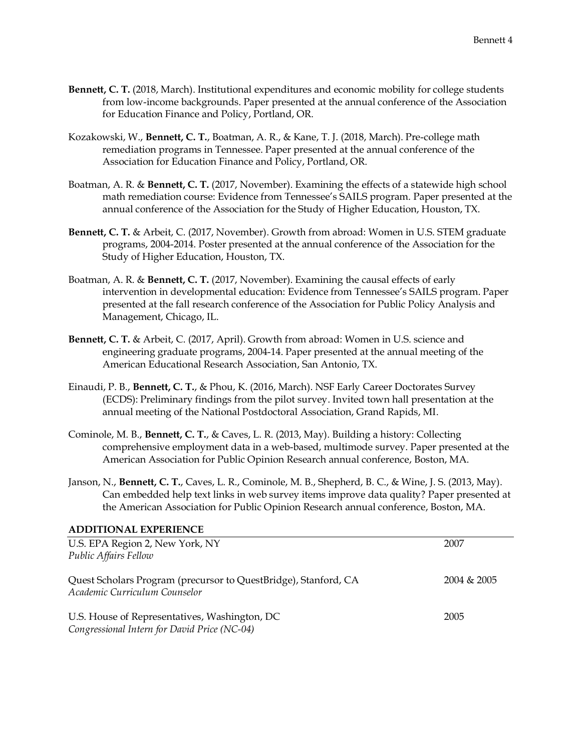- **Bennett, C. T.** (2018, March). Institutional expenditures and economic mobility for college students from low-income backgrounds. Paper presented at the annual conference of the Association for Education Finance and Policy, Portland, OR.
- Kozakowski, W., **Bennett, C. T.**, Boatman, A. R., & Kane, T. J. (2018, March). Pre-college math remediation programs in Tennessee. Paper presented at the annual conference of the Association for Education Finance and Policy, Portland, OR.
- Boatman, A. R. & **Bennett, C. T.** (2017, November). Examining the effects of a statewide high school math remediation course: Evidence from Tennessee's SAILS program. Paper presented at the annual conference of the Association for the Study of Higher Education, Houston, TX.
- **Bennett, C. T.** & Arbeit, C. (2017, November). Growth from abroad: Women in U.S. STEM graduate programs, 2004-2014. Poster presented at the annual conference of the Association for the Study of Higher Education, Houston, TX.
- Boatman, A. R. & **Bennett, C. T.** (2017, November). Examining the causal effects of early intervention in developmental education: Evidence from Tennessee's SAILS program. Paper presented at the fall research conference of the Association for Public Policy Analysis and Management, Chicago, IL.
- **Bennett, C. T.** & Arbeit, C. (2017, April). Growth from abroad: Women in U.S. science and engineering graduate programs, 2004-14. Paper presented at the annual meeting of the American Educational Research Association, San Antonio, TX.
- Einaudi, P. B., **Bennett, C. T.**, & Phou, K. (2016, March). NSF Early Career Doctorates Survey (ECDS): Preliminary findings from the pilot survey. Invited town hall presentation at the annual meeting of the National Postdoctoral Association, Grand Rapids, MI.
- Cominole, M. B., **Bennett, C. T.**, & Caves, L. R. (2013, May). Building a history: Collecting comprehensive employment data in a web-based, multimode survey. Paper presented at the American Association for Public Opinion Research annual conference, Boston, MA.
- Janson, N., **Bennett, C. T.**, Caves, L. R., Cominole, M. B., Shepherd, B. C., & Wine, J. S. (2013, May). Can embedded help text links in web survey items improve data quality? Paper presented at the American Association for Public Opinion Research annual conference, Boston, MA.

# **ADDITIONAL EXPERIENCE**

| U.S. EPA Region 2, New York, NY                                                                  | 2007           |
|--------------------------------------------------------------------------------------------------|----------------|
| Public Affairs Fellow                                                                            |                |
| Quest Scholars Program (precursor to QuestBridge), Stanford, CA<br>Academic Curriculum Counselor | $2004 \& 2005$ |
| U.S. House of Representatives, Washington, DC<br>Congressional Intern for David Price (NC-04)    | 2005           |